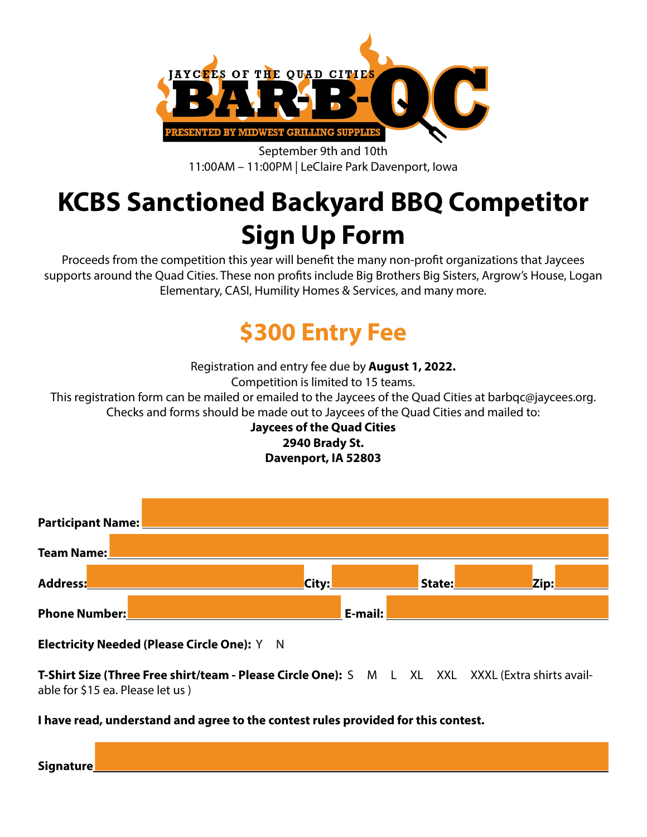

September 9th and 10th 11:00AM – 11:00PM | LeClaire Park Davenport, Iowa

## **KCBS Sanctioned Backyard BBQ Competitor Sign Up Form**

Proceeds from the competition this year will benefit the many non-profit organizations that Jaycees supports around the Quad Cities. These non profits include Big Brothers Big Sisters, Argrow's House, Logan Elementary, CASI, Humility Homes & Services, and many more.

## **\$300 Entry Fee**

Registration and entry fee due by **August 1, 2022.** Competition is limited to 15 teams. This registration form can be mailed or emailed to the Jaycees of the Quad Cities at barbqc@jaycees.org. Checks and forms should be made out to Jaycees of the Quad Cities and mailed to:

#### **Jaycees of the Quad Cities 2940 Brady St. Davenport, IA 52803**



#### **Electricity Needed (Please Circle One):** Y N

**T-Shirt Size (Three Free shirt/team - Please Circle One):** S M L XL XXL XXXL (Extra shirts available for \$15 ea. Please let us )

#### **I have read, understand and agree to the contest rules provided for this contest.**

| 'i ann a f<br>The company of the company<br>Nnna<br>.<br>--------- |  |  |  |  |
|--------------------------------------------------------------------|--|--|--|--|
|                                                                    |  |  |  |  |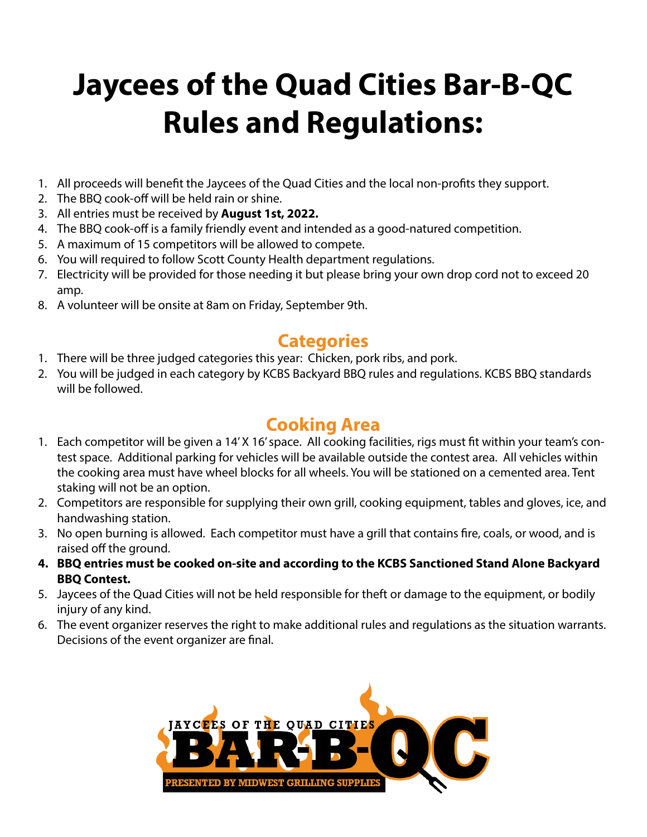# **Jaycees of the Quad Cities Bar-B-QC Rules and Regulations:**

- 1. All proceeds will benefit the Jaycees of the Quad Cities and the local non-profits they support.
- 2. The BBQ cook-off will be held rain or shine.
- 3. All entries must be received by **August 1st, 2022.**
- 4. The BBQ cook-off is a family friendly event and intended as a good-natured competition.
- 5. A maximum of 15 competitors will be allowed to compete.
- 6. You will required to follow Scott County Health department regulations.
- 7. Electricity will be provided for those needing it but please bring your own drop cord not to exceed 20 amp.
- 8. A volunteer will be onsite at 8am on Friday, September 9th.

### **Categories**

- 1. There will be three judged categories this year: Chicken, pork ribs, and pork.
- 2. You will be judged in each category by KCBS Backyard BBQ rules and regulations. KCBS BBQ standards will be followed.

### **Cooking Area**

- 1. Each competitor will be given a 14' X 16' space. All cooking facilities, rigs must fit within your team's contest space. Additional parking for vehicles will be available outside the contest area. All vehicles within the cooking area must have wheel blocks for all wheels. You will be stationed on a cemented area. Tent staking will not be an option.
- 2. Competitors are responsible for supplying their own grill, cooking equipment, tables and gloves, ice, and handwashing station.
- 3. No open burning is allowed. Each competitor must have a grill that contains fire, coals, or wood, and is raised off the ground.
- **4. BBQ entries must be cooked on-site and according to the KCBS Sanctioned Stand Alone Backyard BBQ Contest.**
- 5. Jaycees of the Quad Cities will not be held responsible for theft or damage to the equipment, or bodily injury of any kind.
- 6. The event organizer reserves the right to make additional rules and regulations as the situation warrants. Decisions of the event organizer are final.